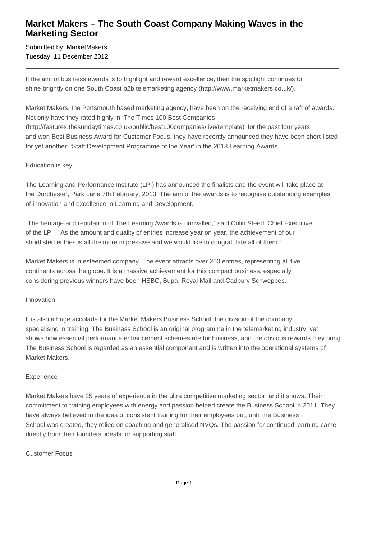## **Market Makers – The South Coast Company Making Waves in the Marketing Sector**

Submitted by: MarketMakers Tuesday, 11 December 2012

If the aim of business awards is to highlight and reward excellence, then the spotlight continues to shine brightly on one South Coast b2b telemarketing agency (http://www.marketmakers.co.uk/).

Market Makers, the Portsmouth based marketing agency, have been on the receiving end of a raft of awards. Not only have they rated highly in 'The Times 100 Best Companies (http://features.thesundaytimes.co.uk/public/best100companies/live/template)' for the past four years, and won Best Business Award for Customer Focus, they have recently announced they have been short-listed for yet another: 'Staff Development Programme of the Year' in the 2013 Learning Awards.

#### Education is key

The Learning and Performance Institute (LPI) has announced the finalists and the event will take place at the Dorchester, Park Lane 7th February, 2013. The aim of the awards is to recognise outstanding examples of innovation and excellence in Learning and Development.

"The heritage and reputation of The Learning Awards is unrivalled," said Colin Steed, Chief Executive of the LPI. "As the amount and quality of entries increase year on year, the achievement of our shortlisted entries is all the more impressive and we would like to congratulate all of them."

Market Makers is in esteemed company. The event attracts over 200 entries, representing all five continents across the globe. It is a massive achievement for this compact business, especially considering previous winners have been HSBC, Bupa, Royal Mail and Cadbury Schweppes.

### Innovation

It is also a huge accolade for the Market Makers Business School, the division of the company specialising in training. The Business School is an original programme in the telemarketing industry, yet shows how essential performance enhancement schemes are for business, and the obvious rewards they bring. The Business School is regarded as an essential component and is written into the operational systems of Market Makers.

### **Experience**

Market Makers have 25 years of experience in the ultra competitive marketing sector, and it shows. Their commitment to training employees with energy and passion helped create the Business School in 2011. They have always believed in the idea of consistent training for their employees but, until the Business School was created, they relied on coaching and generalised NVQs. The passion for continued learning came directly from their founders' ideals for supporting staff.

### Customer Focus